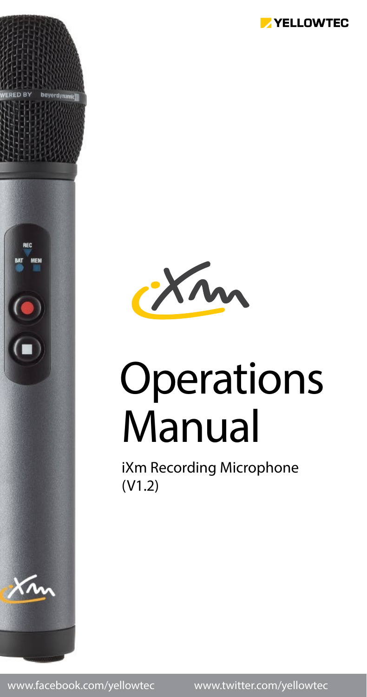



# Manual **Operations**

iXm Recording Microphone (V1.2)

www.facebook.com/yellowtec www.twitter.com/yellowtec

**RFC**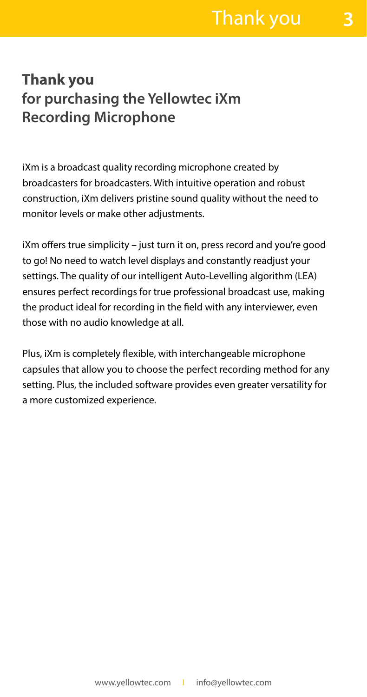#### **Thank you for purchasing the Yellowtec iXm Recording Microphone**

iXm is a broadcast quality recording microphone created by broadcasters for broadcasters. With intuitive operation and robust construction, iXm delivers pristine sound quality without the need to monitor levels or make other adjustments.

iXm offers true simplicity – just turn it on, press record and you're good to go! No need to watch level displays and constantly readjust your settings. The quality of our intelligent Auto-Levelling algorithm (LEA) ensures perfect recordings for true professional broadcast use, making the product ideal for recording in the field with any interviewer, even those with no audio knowledge at all.

Plus, iXm is completely flexible, with interchangeable microphone capsules that allow you to choose the perfect recording method for any setting. Plus, the included software provides even greater versatility for a more customized experience.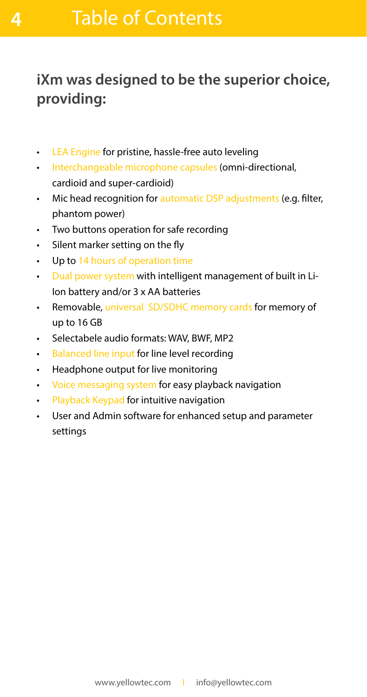**4**

### **iXm was designed to be the superior choice, providing:**

- LEA Engine for pristine, hassle-free auto leveling
- Interchangeable microphone capsules (omni-directional, cardioid and super-cardioid)
- Mic head recognition for automatic DSP adjustments (e.g. filter, phantom power)
- Two buttons operation for safe recording
- Silent marker setting on the fly
- Up to 14 hours of operation time
- Dual power system with intelligent management of built in Li-Ion battery and/or 3 x AA batteries
- Removable, universal SD/SDHC memory cards for memory of up to 16 GB
- Selectabele audio formats: WAV, BWF, MP2
- Balanced line input for line level recording
- Headphone output for live monitoring
- Voice messaging system for easy playback navigation
- Playback Keypad for intuitive navigation
- User and Admin software for enhanced setup and parameter settings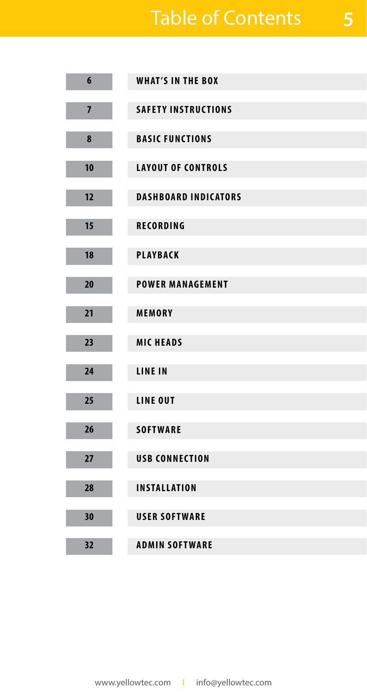## Table of Contents

**5**

| $6\phantom{a}$ | <b>WHAT'S IN THE BOX</b>    |
|----------------|-----------------------------|
| $\overline{7}$ | <b>SAFETY INSTRUCTIONS</b>  |
|                |                             |
| 8              | <b>BASIC FUNCTIONS</b>      |
| 10             | <b>LAYOUT OF CONTROLS</b>   |
|                |                             |
| 12             | <b>DASHBOARD INDICATORS</b> |
| 15             | <b>RECORDING</b>            |
|                |                             |
| 18             | <b>PLAYBACK</b>             |
|                |                             |
| 20             | <b>POWER MANAGEMENT</b>     |
| 21             | MEMORY                      |
|                |                             |
| 23             | <b>MICHEADS</b>             |
| 24             | <b>LINE IN</b>              |
|                |                             |
| 25             | LINE OUT                    |
|                |                             |
| 26             | <b>SOFTWARE</b>             |
|                |                             |
| 27             | <b>USB CONNECTION</b>       |
| 28             | <b>INSTALLATION</b>         |
|                |                             |
| 30             | <b>USER SOFTWARE</b>        |
|                |                             |
| 32             | <b>ADMIN SOFTWARE</b>       |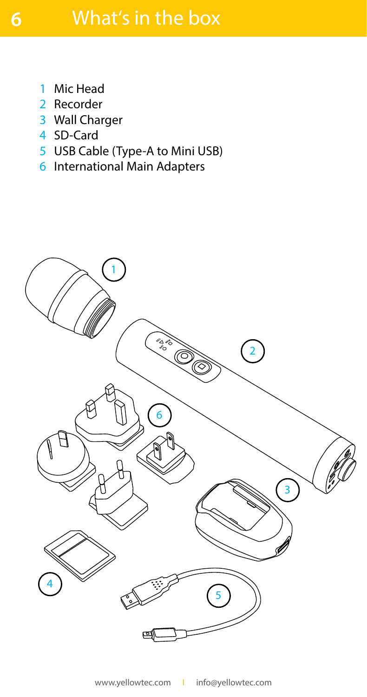- Mic Head 1
- 2 Recorder
- Wall Charger 3
- 4 SD-Card
- 5 USB Cable (Type-A to Mini USB)
- 6 International Main Adapters

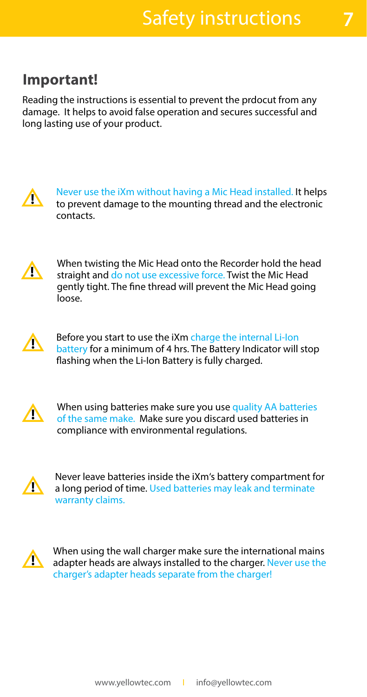#### **Important!**

Reading the instructions is essential to prevent the prdocut from any damage. It helps to avoid false operation and secures successful and long lasting use of your product.



Never use the iXm without having a Mic Head installed. It helps to prevent damage to the mounting thread and the electronic contacts.



When twisting the Mic Head onto the Recorder hold the head straight and do not use excessive force. Twist the Mic Head gently tight. The fine thread will prevent the Mic Head going loose.



Before you start to use the iXm charge the internal Li-Ion battery for a minimum of 4 hrs. The Battery Indicator will stop flashing when the Li-Ion Battery is fully charged.



When using batteries make sure you use quality AA batteries of the same make. Make sure you discard used batteries in compliance with environmental regulations.



Never leave batteries inside the iXm's battery compartment for a long period of time. Used batteries may leak and terminate warranty claims.



When using the wall charger make sure the international mains adapter heads are always installed to the charger. Never use the charger's adapter heads separate from the charger!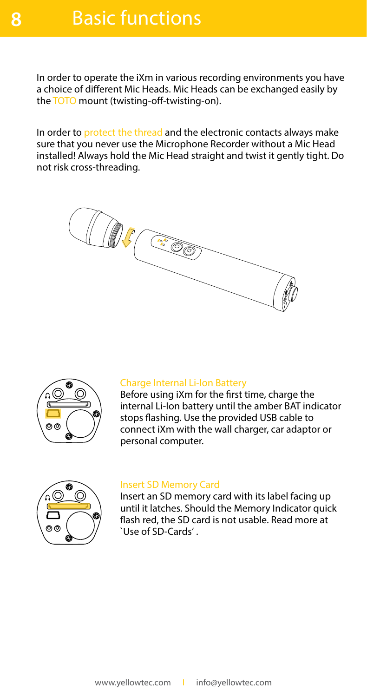In order to operate the iXm in various recording environments you have a choice of different Mic Heads. Mic Heads can be exchanged easily by the TOTO mount (twisting-off-twisting-on).

In order to protect the thread and the electronic contacts always make sure that you never use the Microphone Recorder without a Mic Head installed! Always hold the Mic Head straight and twist it gently tight. Do not risk cross-threading.





#### Charge Internal Li-Ion Battery

Before using iXm for the first time, charge the internal Li-Ion battery until the amber BAT indicator stops flashing. Use the provided USB cable to connect iXm with the wall charger, car adaptor or personal computer.



#### Insert SD Memory Card

Insert an SD memory card with its label facing up until it latches. Should the Memory Indicator quick flash red, the SD card is not usable. Read more at `Use of SD-Cards' .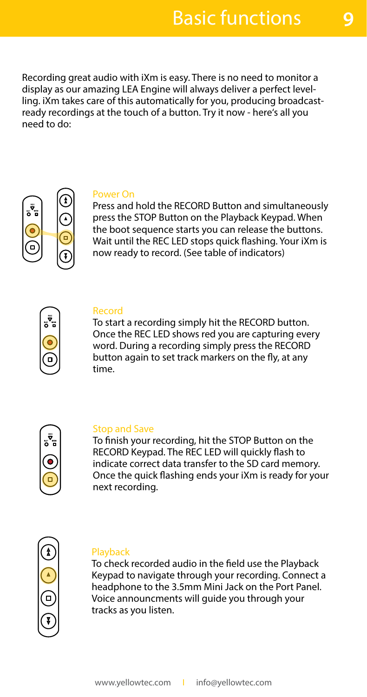Recording great audio with iXm is easy. There is no need to monitor a display as our amazing LEA Engine will always deliver a perfect levelling. iXm takes care of this automatically for you, producing broadcastready recordings at the touch of a button. Try it now - here's all you need to do:



#### Power On

Press and hold the RECORD Button and simultaneously press the STOP Button on the Playback Keypad. When the boot sequence starts you can release the buttons. Wait until the REC LED stops quick flashing. Your iXm is now ready to record. (See table of indicators)



#### Record

To start a recording simply hit the RECORD button. Once the REC LED shows red you are capturing every word. During a recording simply press the RECORD button again to set track markers on the fly, at any time.



#### Stop and Save

To finish your recording, hit the STOP Button on the RECORD Keypad. The REC LED will quickly flash to indicate correct data transfer to the SD card memory. Once the quick flashing ends your iXm is ready for your next recording.



#### **Playback**

To check recorded audio in the field use the Playback Keypad to navigate through your recording. Connect a headphone to the 3.5mm Mini Jack on the Port Panel. Voice announcments will guide you through your tracks as you listen.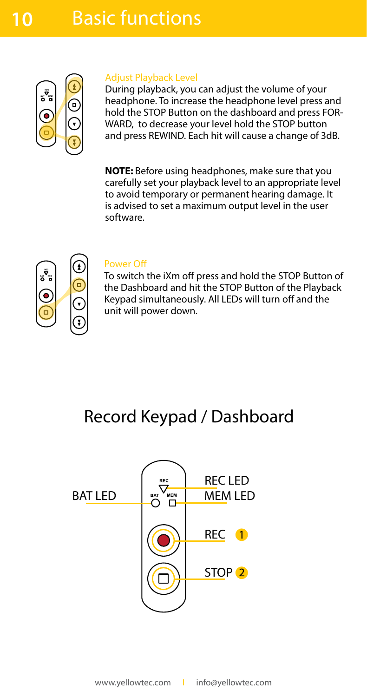

#### Adjust Playback Level

During playback, you can adjust the volume of your headphone. To increase the headphone level press and hold the STOP Button on the dashboard and press FOR-WARD, to decrease your level hold the STOP button and press REWIND. Each hit will cause a change of 3dB.

**NOTE:** Before using headphones, make sure that you carefully set your playback level to an appropriate level to avoid temporary or permanent hearing damage. It is advised to set a maximum output level in the user software.



#### Power Off

To switch the iXm off press and hold the STOP Button of the Dashboard and hit the STOP Button of the Playback Keypad simultaneously. All LEDs will turn off and the unit will power down.

### Record Keypad / Dashboard

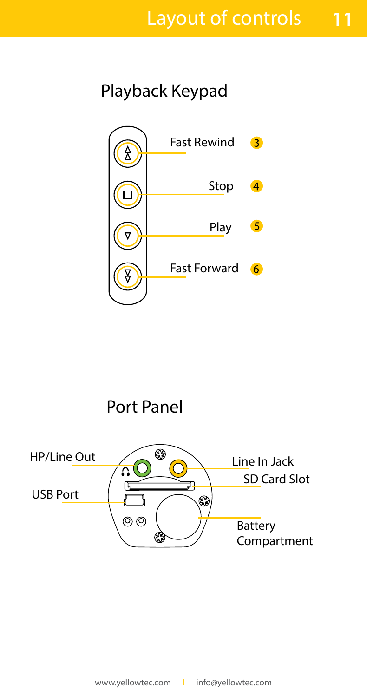**11**

### Playback Keypad



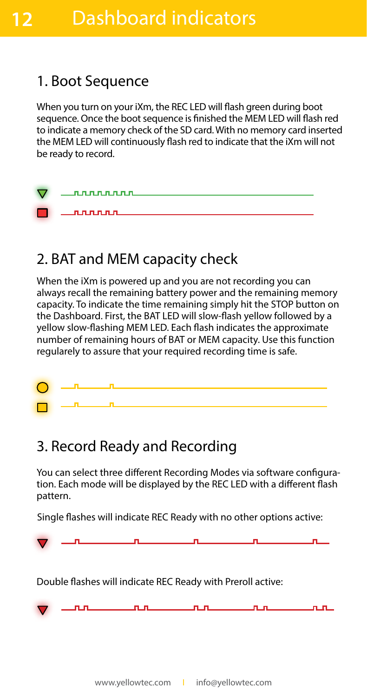#### 1. Boot Sequence

**12**

When you turn on your iXm, the REC LED will flash green during boot sequence. Once the boot sequence is finished the MEM LED will flash red to indicate a memory check of the SD card. With no memory card inserted the MEM LED will continuously flash red to indicate that the iXm will not be ready to record.



### 2. BAT and MEM capacity check

When the iXm is powered up and you are not recording you can always recall the remaining battery power and the remaining memory capacity. To indicate the time remaining simply hit the STOP button on the Dashboard. First, the BAT LED will slow-flash yellow followed by a yellow slow-flashing MEM LED. Each flash indicates the approximate number of remaining hours of BAT or MEM capacity. Use this function regularely to assure that your required recording time is safe.



#### 3. Record Ready and Recording

You can select three different Recording Modes via software configuration. Each mode will be displayed by the REC LED with a different flash pattern.

Single flashes will indicate REC Ready with no other options active:

Double flashes will indicate REC Ready with Preroll active: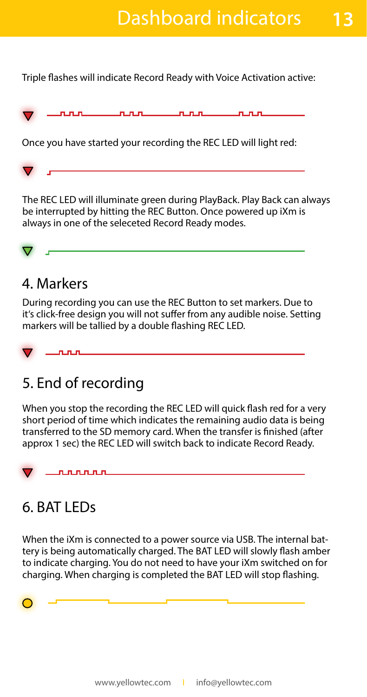**13**

Triple flashes will indicate Record Ready with Voice Activation active:

| $\sim$<br>v | --- | . .<br><b>Contract Contract Contract Contract</b> |  |
|-------------|-----|---------------------------------------------------|--|
|             |     |                                                   |  |

Once you have started your recording the REC LED will light red:

The REC LED will illuminate green during PlayBack. Play Back can always be interrupted by hitting the REC Button. Once powered up iXm is always in one of the seleceted Record Ready modes.

#### 4. Markers

During recording you can use the REC Button to set markers. Due to it's click-free design you will not suffer from any audible noise. Setting markers will be tallied by a double flashing REC LED.



### 5. End of recording

When you stop the recording the REC LED will quick flash red for a very short period of time which indicates the remaining audio data is being transferred to the SD memory card. When the transfer is finished (after approx 1 sec) the REC LED will switch back to indicate Record Ready.

<u>nnnnn</u>

### 6. BAT LEDs

When the iXm is connected to a power source via USB. The internal battery is being automatically charged. The BAT LED will slowly flash amber to indicate charging. You do not need to have your iXm switched on for charging. When charging is completed the BAT LED will stop flashing.

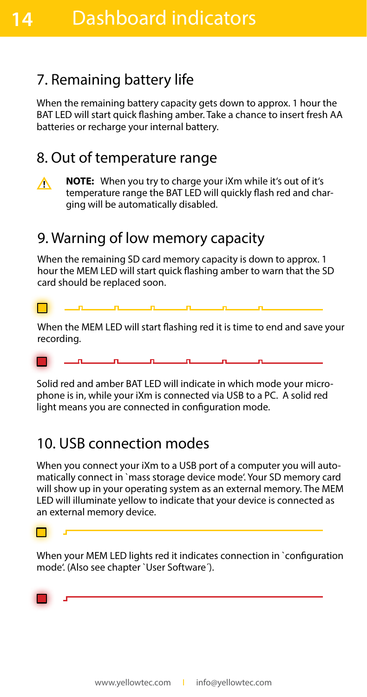### 7. Remaining battery life

When the remaining battery capacity gets down to approx. 1 hour the BAT LED will start quick flashing amber. Take a chance to insert fresh AA batteries or recharge your internal battery.

#### 8. Out of temperature range



**14**

**NOTE:** When you try to charge your iXm while it's out of it's temperature range the BAT LED will quickly flash red and charging will be automatically disabled.

#### 9. Warning of low memory capacity

When the remaining SD card memory capacity is down to approx. 1 hour the MEM LED will start quick flashing amber to warn that the SD card should be replaced soon.

When the MEM LED will start flashing red it is time to end and save your recording.

Solid red and amber BAT LED will indicate in which mode your microphone is in, while your iXm is connected via USB to a PC. A solid red light means you are connected in configuration mode.

#### 10. USB connection modes

When you connect your iXm to a USB port of a computer you will automatically connect in `mass storage device mode'. Your SD memory card will show up in your operating system as an external memory. The MEM LED will illuminate yellow to indicate that your device is connected as an external memory device.



When your MEM LED lights red it indicates connection in `configuration mode'. (Also see chapter `User Software´).

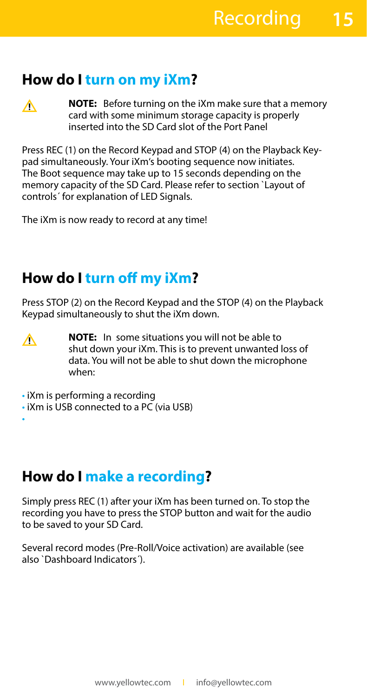#### **How do I turn on my iXm?**

∧

∧

**NOTE:** Before turning on the iXm make sure that a memory card with some minimum storage capacity is properly inserted into the SD Card slot of the Port Panel

Press REC (1) on the Record Keypad and STOP (4) on the Playback Keypad simultaneously. Your iXm's booting sequence now initiates. The Boot sequence may take up to 15 seconds depending on the memory capacity of the SD Card. Please refer to section `Layout of controls´ for explanation of LED Signals.

The iXm is now ready to record at any time!

### **How do I turn off my iXm?**

Press STOP (2) on the Record Keypad and the STOP (4) on the Playback Keypad simultaneously to shut the iXm down.

- **NOTE:** In some situations you will not be able to shut down your iXm. This is to prevent unwanted loss of data. You will not be able to shut down the microphone when:
- iXm is performing a recording
- iXm is USB connected to a PC (via USB) • iXm is being charged (via USB)

#### **How do I make a recording?**

Simply press REC (1) after your iXm has been turned on. To stop the recording you have to press the STOP button and wait for the audio to be saved to your SD Card.

Several record modes (Pre-Roll/Voice activation) are available (see also `Dashboard Indicators´).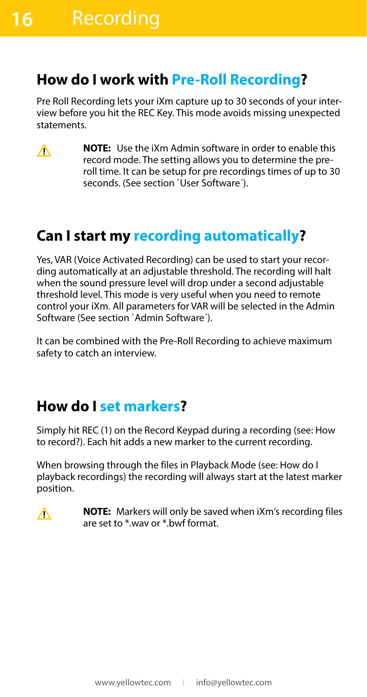#### **How do I work with Pre-Roll Recording?**

Pre Roll Recording lets your iXm capture up to 30 seconds of your interview before you hit the REC Key. This mode avoids missing unexpected statements.

**NOTE:** Use the iXm Admin software in order to enable this  $\wedge$ record mode. The setting allows you to determine the preroll time. It can be setup for pre recordings times of up to 30 seconds. (See section `User Software´).

### **Can I start my recording automatically?**

Yes, VAR (Voice Activated Recording) can be used to start your recording automatically at an adjustable threshold. The recording will halt when the sound pressure level will drop under a second adjustable threshold level. This mode is very useful when you need to remote control your iXm. All parameters for VAR will be selected in the Admin Software (See section `Admin Software´).

It can be combined with the Pre-Roll Recording to achieve maximum safety to catch an interview.

#### **How do I set markers?**

Simply hit REC (1) on the Record Keypad during a recording (see: How to record?). Each hit adds a new marker to the current recording.

When browsing through the files in Playback Mode (see: How do I playback recordings) the recording will always start at the latest marker position.



**NOTE:** Markers will only be saved when iXm's recording files are set to \*.wav or \*.bwf format.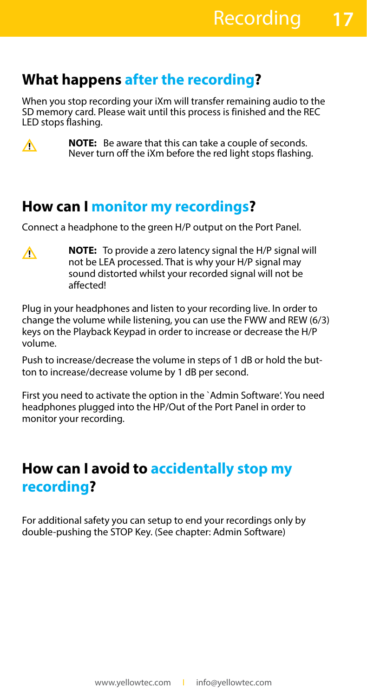#### **What happens after the recording?**

When you stop recording your iXm will transfer remaining audio to the SD memory card. Please wait until this process is finished and the REC LED stops flashing.



**NOTE:** Be aware that this can take a couple of seconds. Never turn off the iXm before the red light stops flashing.

#### **How can I monitor my recordings?**

Connect a headphone to the green H/P output on the Port Panel.

**NOTE:** To provide a zero latency signal the H/P signal will ∧ not be LEA processed. That is why your H/P signal may sound distorted whilst your recorded signal will not be affected!

Plug in your headphones and listen to your recording live. In order to change the volume while listening, you can use the FWW and REW (6/3) keys on the Playback Keypad in order to increase or decrease the H/P volume.

Push to increase/decrease the volume in steps of 1 dB or hold the button to increase/decrease volume by 1 dB per second.

First you need to activate the option in the `Admin Software'. You need headphones plugged into the HP/Out of the Port Panel in order to monitor your recording.

#### **How can I avoid to accidentally stop my recording?**

For additional safety you can setup to end your recordings only by double-pushing the STOP Key. (See chapter: Admin Software)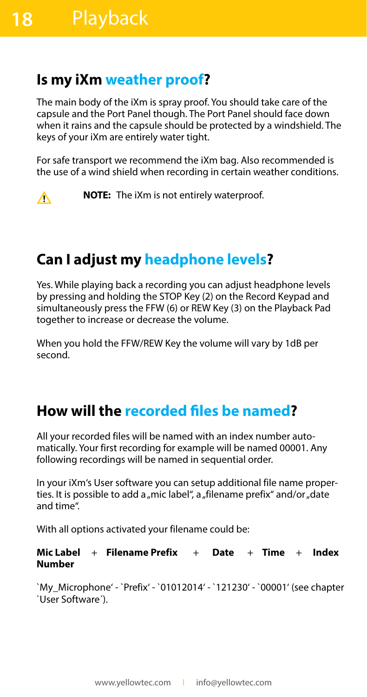#### **Is my iXm weather proof?**

The main body of the iXm is spray proof. You should take care of the capsule and the Port Panel though. The Port Panel should face down when it rains and the capsule should be protected by a windshield. The keys of your iXm are entirely water tight.

For safe transport we recommend the iXm bag. Also recommended is the use of a wind shield when recording in certain weather conditions.



**NOTE:** The iXm is not entirely waterproof.

### **Can I adjust my headphone levels?**

Yes. While playing back a recording you can adjust headphone levels by pressing and holding the STOP Key (2) on the Record Keypad and simultaneously press the FFW (6) or REW Key (3) on the Playback Pad together to increase or decrease the volume.

When you hold the FFW/REW Key the volume will vary by 1dB per second.

#### **How will the recorded files be named?**

All your recorded files will be named with an index number automatically. Your first recording for example will be named 00001. Any following recordings will be named in sequential order.

In your iXm's User software you can setup additional file name properties. It is possible to add a "mic label", a "filename prefix" and/or "date and time".

With all options activated your filename could be:

**Mic Label** + **Filename Prefix** + **Date** + **Time** + **Index Number**

`My\_Microphone' - `Prefix' - `01012014' - `121230' - `00001' (see chapter `User Software´).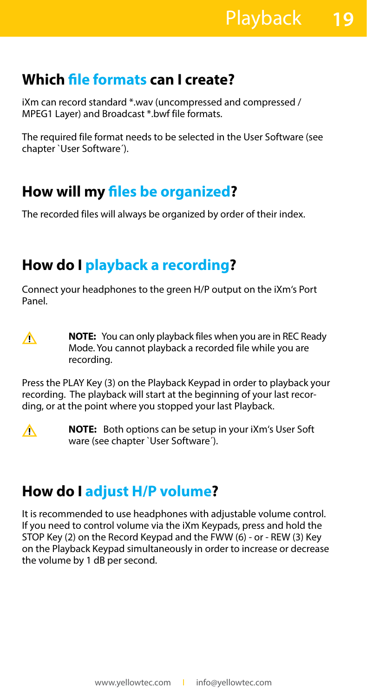### **Which file formats can I create?**

iXm can record standard \*.wav (uncompressed and compressed / MPEG1 Layer) and Broadcast \*.bwf file formats.

The required file format needs to be selected in the User Software (see chapter `User Software´).

### **How will my files be organized?**

The recorded files will always be organized by order of their index.

### **How do I playback a recording?**

Connect your headphones to the green H/P output on the iXm's Port Panel.

 $\wedge$ 

**NOTE:** You can only playback files when you are in REC Ready Mode. You cannot playback a recorded file while you are recording.

Press the PLAY Key (3) on the Playback Keypad in order to playback your recording. The playback will start at the beginning of your last recording, or at the point where you stopped your last Playback.



**NOTE:** Both options can be setup in your iXm's User Soft ware (see chapter `User Software´).

#### **How do I adjust H/P volume?**

It is recommended to use headphones with adjustable volume control. If you need to control volume via the iXm Keypads, press and hold the STOP Key (2) on the Record Keypad and the FWW (6) - or - REW (3) Key on the Playback Keypad simultaneously in order to increase or decrease the volume by 1 dB per second.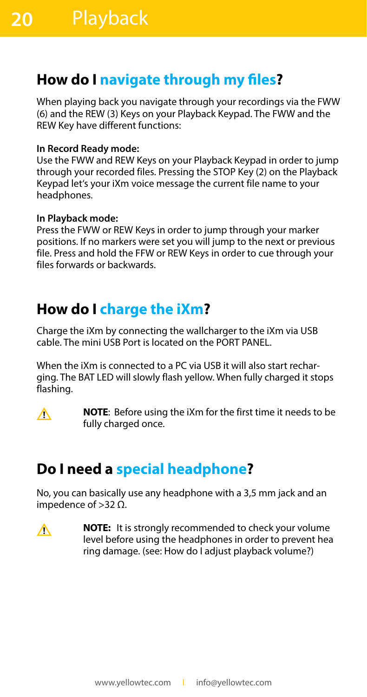#### **How do I navigate through my files?**

When playing back you navigate through your recordings via the FWW (6) and the REW (3) Keys on your Playback Keypad. The FWW and the REW Key have different functions:

#### **In Record Ready mode:**

Use the FWW and REW Keys on your Playback Keypad in order to jump through your recorded files. Pressing the STOP Key (2) on the Playback Keypad let's your iXm voice message the current file name to your headphones.

#### **In Playback mode:**

Press the FWW or REW Keys in order to jump through your marker positions. If no markers were set you will jump to the next or previous file. Press and hold the FFW or REW Keys in order to cue through your files forwards or backwards.

#### **How do I charge the iXm?**

Charge the iXm by connecting the wallcharger to the iXm via USB cable. The mini USB Port is located on the PORT PANEL.

When the iXm is connected to a PC via USB it will also start recharging. The BAT LED will slowly flash yellow. When fully charged it stops flashing.

 $\wedge$ 

**NOTE**: Before using the iXm for the first time it needs to be fully charged once.

### **Do I need a special headphone?**

No, you can basically use any headphone with a 3,5 mm jack and an impedence of  $>$ 32 Ω.

**NOTE:** It is strongly recommended to check your volume  $\wedge$ level before using the headphones in order to prevent hea ring damage. (see: How do I adjust playback volume?)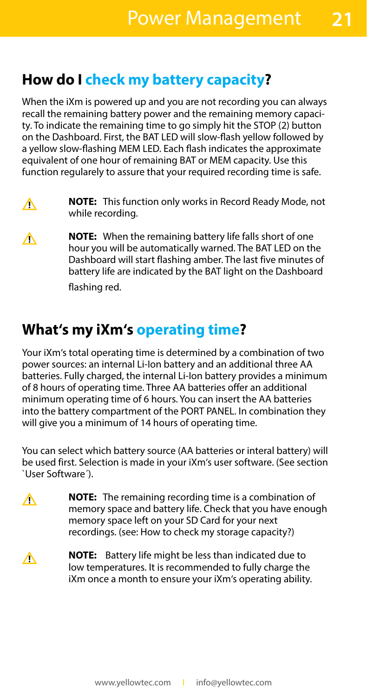**21**

#### **How do I check my battery capacity?**

When the iXm is powered up and you are not recording you can always recall the remaining battery power and the remaining memory capacity. To indicate the remaining time to go simply hit the STOP (2) button on the Dashboard. First, the BAT LED will slow-flash yellow followed by a yellow slow-flashing MEM LED. Each flash indicates the approximate equivalent of one hour of remaining BAT or MEM capacity. Use this function regularely to assure that your required recording time is safe.

- **NOTE:** This function only works in Record Ready Mode, not ∧ while recording.
- **NOTE:** When the remaining battery life falls short of one ∧ hour you will be automatically warned. The BAT LED on the Dashboard will start flashing amber. The last five minutes of battery life are indicated by the BAT light on the Dashboard flashing red.

#### **What's my iXm's operating time?**

Your iXm's total operating time is determined by a combination of two power sources: an internal Li-Ion battery and an additional three AA batteries. Fully charged, the internal Li-Ion battery provides a minimum of 8 hours of operating time. Three AA batteries offer an additional minimum operating time of 6 hours. You can insert the AA batteries into the battery compartment of the PORT PANEL. In combination they will give you a minimum of 14 hours of operating time.

You can select which battery source (AA batteries or interal battery) will be used first. Selection is made in your iXm's user software. (See section `User Software´).

- **NOTE:** The remaining recording time is a combination of ∧ memory space and battery life. Check that you have enough memory space left on your SD Card for your next recordings. (see: How to check my storage capacity?)
- **NOTE:** Battery life might be less than indicated due to Δ low temperatures. It is recommended to fully charge the iXm once a month to ensure your iXm's operating ability.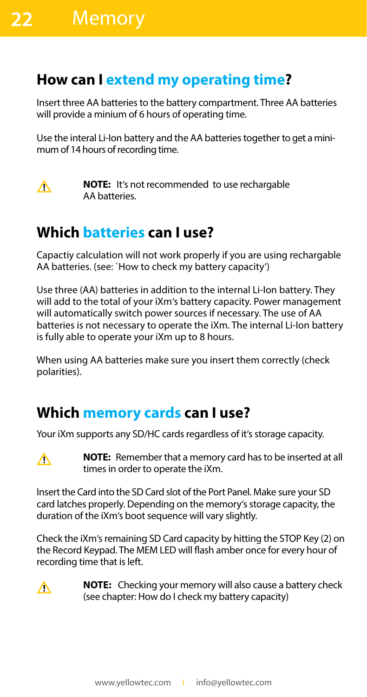#### **How can I extend my operating time?**

Insert three AA batteries to the battery compartment. Three AA batteries will provide a minium of 6 hours of operating time.

Use the interal Li-Ion battery and the AA batteries together to get a minimum of 14 hours of recording time.



**NOTE:** It's not recommended to use rechargable AA batteries.

### **Which batteries can I use?**

Capactiy calculation will not work properly if you are using rechargable AA batteries. (see: `How to check my battery capacity')

Use three (AA) batteries in addition to the internal Li-Ion battery. They will add to the total of your iXm's battery capacity. Power management will automatically switch power sources if necessary. The use of AA batteries is not necessary to operate the iXm. The internal Li-Ion battery is fully able to operate your iXm up to 8 hours.

When using AA batteries make sure you insert them correctly (check polarities).

#### **Which memory cards can I use?**

Your iXm supports any SD/HC cards regardless of it's storage capacity.



**NOTE:**Remember that a memory card has to be inserted at all times in order to operate the iXm.

Insert the Card into the SD Card slot of the Port Panel. Make sure your SD card latches properly. Depending on the memory's storage capacity, the duration of the iXm's boot sequence will vary slightly.

Check the iXm's remaining SD Card capacity by hitting the STOP Key (2) on the Record Keypad. The MEM LED will flash amber once for every hour of recording time that is left.



**NOTE:** Checking your memory will also cause a battery check (see chapter: How do I check my battery capacity)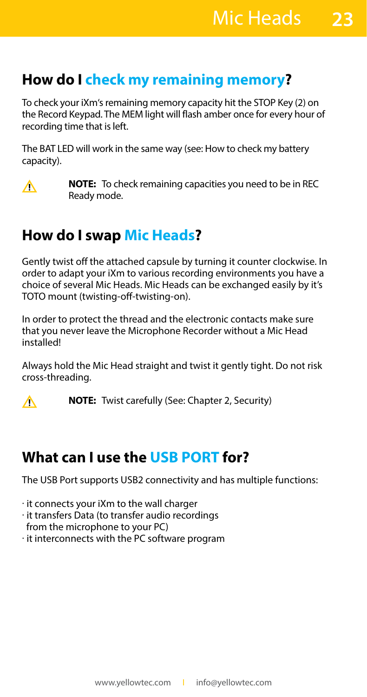#### **How do I check my remaining memory?**

To check your iXm's remaining memory capacity hit the STOP Key (2) on the Record Keypad. The MEM light will flash amber once for every hour of recording time that is left.

The BAT LED will work in the same way (see: How to check my battery capacity).



**NOTE:** To check remaining capacities you need to be in REC Ready mode.

### **How do I swap Mic Heads?**

Gently twist off the attached capsule by turning it counter clockwise. In order to adapt your iXm to various recording environments you have a choice of several Mic Heads. Mic Heads can be exchanged easily by it's TOTO mount (twisting-off-twisting-on).

In order to protect the thread and the electronic contacts make sure that you never leave the Microphone Recorder without a Mic Head installed!

Always hold the Mic Head straight and twist it gently tight. Do not risk cross-threading.



**NOTE:** Twist carefully (See: Chapter 2, Security)

#### **What can I use the USB PORT for?**

The USB Port supports USB2 connectivity and has multiple functions:

· it connects your iXm to the wall charger

- · it transfers Data (to transfer audio recordings from the microphone to your PC)
- · it interconnects with the PC software program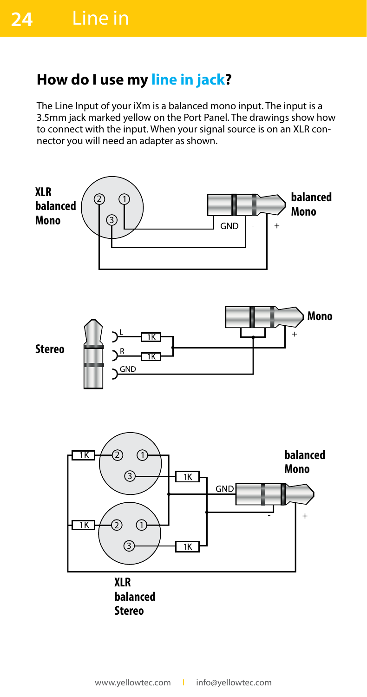#### **How do I use my line in jack?**

The Line Input of your iXm is a balanced mono input. The input is a 3.5mm jack marked yellow on the Port Panel. The drawings show how to connect with the input. When your signal source is on an XLR connector you will need an adapter as shown.

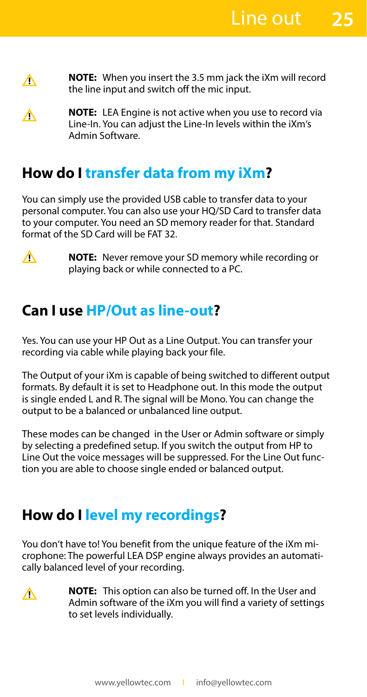- **NOTE:**When you insert the 3.5 mm jack the iXm will record Δ the line input and switch off the mic input.
- **NOTE:**LEA Engine is not active when you use to record via ∧ Line-In. You can adjust the Line-In levels within the iXm's Admin Software.

#### **How do I transfer data from my iXm?**

You can simply use the provided USB cable to transfer data to your personal computer. You can also use your HQ/SD Card to transfer data to your computer. You need an SD memory reader for that. Standard format of the SD Card will be FAT 32.



**NOTE:**Never remove your SD memory while recording or playing back or while connected to a PC.

#### **Can I use HP/Out as line-out?**

Yes. You can use your HP Out as a Line Output. You can transfer your recording via cable while playing back your file.

The Output of your iXm is capable of being switched to different output formats. By default it is set to Headphone out. In this mode the output is single ended L and R. The signal will be Mono. You can change the output to be a balanced or unbalanced line output.

These modes can be changed in the User or Admin software or simply by selecting a predefined setup. If you switch the output from HP to Line Out the voice messages will be suppressed. For the Line Out function you are able to choose single ended or balanced output.

#### **How do I level my recordings?**

You don't have to! You benefit from the unique feature of the iXm microphone: The powerful LEA DSP engine always provides an automatically balanced level of your recording.

∧

**NOTE:** This option can also be turned off. In the User and Admin software of the iXm you will find a variety of settings to set levels individually.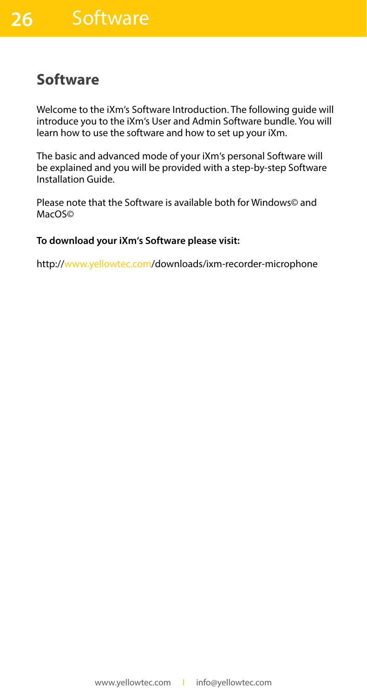#### **Software**

Welcome to the iXm's Software Introduction. The following guide will introduce you to the iXm's User and Admin Software bundle. You will learn how to use the software and how to set up your iXm.

The basic and advanced mode of your iXm's personal Software will be explained and you will be provided with a step-by-step Software Installation Guide.

Please note that the Software is available both for Windows© and MacOS©

#### **To download your iXm's Software please visit:**

http://www.yellowtec.com/downloads/ixm-recorder-microphone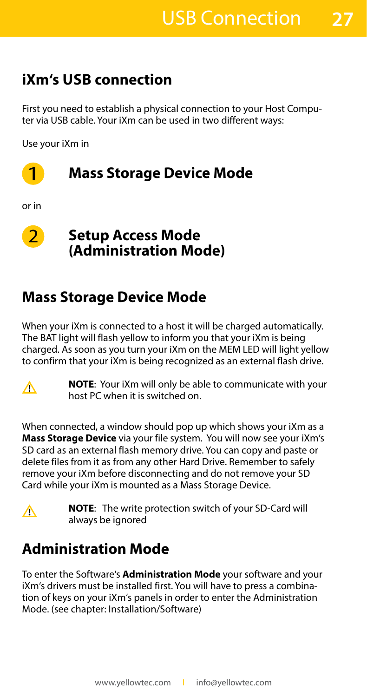**27**

### **iXm's USB connection**

First you need to establish a physical connection to your Host Computer via USB cable. Your iXm can be used in two different ways:

Use your iXm in



or in



#### **Setup Access Mode (Administration Mode)**

#### **Mass Storage Device Mode**

When your iXm is connected to a host it will be charged automatically. The BAT light will flash yellow to inform you that your iXm is being charged. As soon as you turn your iXm on the MEM LED will light yellow to confirm that your iXm is being recognized as an external flash drive.



**NOTE**: Your iXm will only be able to communicate with your host PC when it is switched on.

When connected, a window should pop up which shows your iXm as a **Mass Storage Device** via your file system. You will now see your iXm's SD card as an external flash memory drive. You can copy and paste or delete files from it as from any other Hard Drive. Remember to safely remove your iXm before disconnecting and do not remove your SD Card while your iXm is mounted as a Mass Storage Device.



**NOTE**: The write protection switch of your SD-Card will always be ignored

### **Administration Mode**

To enter the Software's **Administration Mode** your software and your iXm's drivers must be installed first. You will have to press a combination of keys on your iXm's panels in order to enter the Administration Mode. (see chapter: Installation/Software)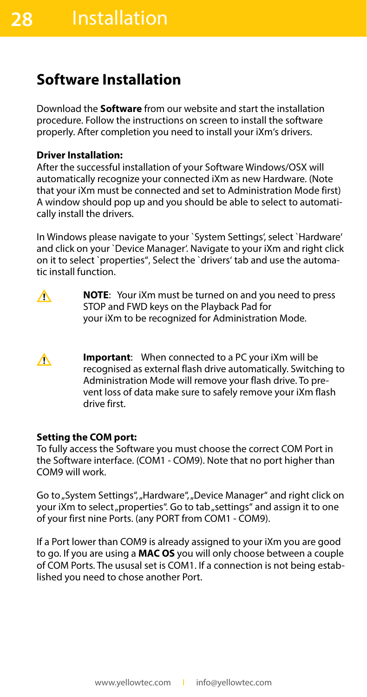#### **Software Installation**

Download the **Software** from our website and start the installation procedure. Follow the instructions on screen to install the software properly. After completion you need to install your iXm's drivers.

#### **Driver Installation:**

After the successful installation of your Software Windows/OSX will automatically recognize your connected iXm as new Hardware. (Note that your iXm must be connected and set to Administration Mode first) A window should pop up and you should be able to select to automatically install the drivers.

In Windows please navigate to your `System Settings', select `Hardware' and click on your `Device Manager'. Navigate to your iXm and right click on it to select `properties"' Select the `drivers' tab and use the automatic install function.

- **NOTE**: Your iXm must be turned on and you need to press ∧ STOP and FWD keys on the Playback Pad for your iXm to be recognized for Administration Mode.
- **Important**: When connected to a PC your iXm will be ∧ recognised as external flash drive automatically. Switching to Administration Mode will remove your flash drive. To prevent loss of data make sure to safely remove your iXm flash drive first.

#### **Setting the COM port:**

To fully access the Software you must choose the correct COM Port in the Software interface. (COM1 - COM9). Note that no port higher than COM9 will work.

Go to "System Settings", "Hardware", "Device Manager" and right click on your iXm to select "properties". Go to tab "settings" and assign it to one of your first nine Ports. (any PORT from COM1 - COM9).

If a Port lower than COM9 is already assigned to your iXm you are good to go. If you are using a **MAC OS** you will only choose between a couple of COM Ports. The ususal set is COM1. If a connection is not being established you need to chose another Port.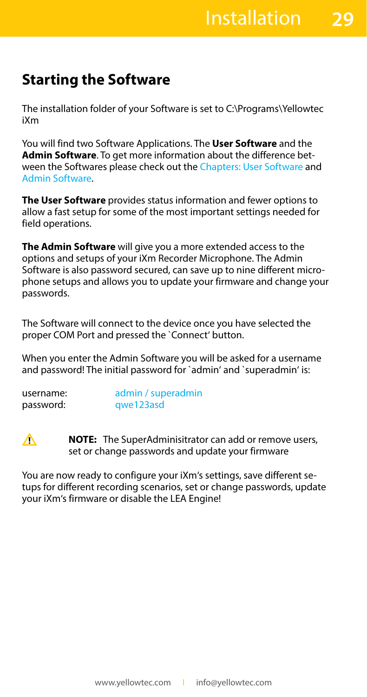#### **Starting the Software**

The installation folder of your Software is set to C:\Programs\Yellowtec iXm

You will find two Software Applications. The **User Software** and the **Admin Software**. To get more information about the difference between the Softwares please check out the Chapters: User Software and Admin Software.

**The User Software** provides status information and fewer options to allow a fast setup for some of the most important settings needed for field operations.

**The Admin Software** will give you a more extended access to the options and setups of your iXm Recorder Microphone. The Admin Software is also password secured, can save up to nine different microphone setups and allows you to update your firmware and change your passwords.

The Software will connect to the device once you have selected the proper COM Port and pressed the `Connect' button.

When you enter the Admin Software you will be asked for a username and password! The initial password for `admin' and `superadmin' is:

| username: | admin / superadmin |
|-----------|--------------------|
| password: | qwe123asd          |

 $\wedge$ 

**NOTE:** The SuperAdminisitrator can add or remove users, set or change passwords and update your firmware

You are now ready to configure your iXm's settings, save different setups for different recording scenarios, set or change passwords, update your iXm's firmware or disable the LEA Engine!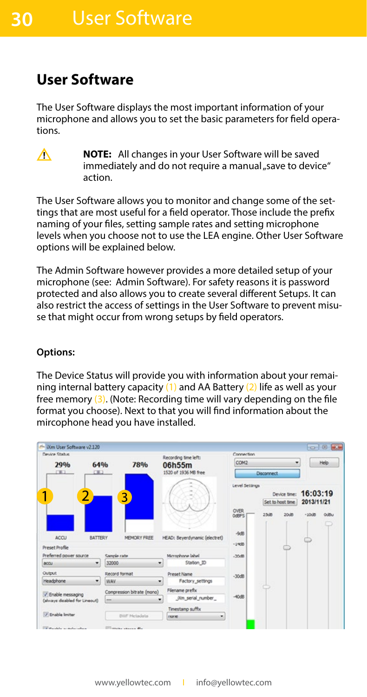#### **User Software**

The User Software displays the most important information of your microphone and allows you to set the basic parameters for field operations.



**NOTE:** All changes in your User Software will be saved immediately and do not require a manual "save to device" action.

The User Software allows you to monitor and change some of the settings that are most useful for a field operator. Those include the prefix naming of your files, setting sample rates and setting microphone levels when you choose not to use the LEA engine. Other User Software options will be explained below.

The Admin Software however provides a more detailed setup of your microphone (see: Admin Software). For safety reasons it is password protected and also allows you to create several different Setups. It can also restrict the access of settings in the User Software to prevent misuse that might occur from wrong setups by field operators.

#### **Options:**

The Device Status will provide you with information about your remaining internal battery capacity  $(1)$  and AA Battery  $(2)$  life as well as your free memory (3). (Note: Recording time will vary depending on the file format you choose). Next to that you will find information about the mircophone head you have installed.

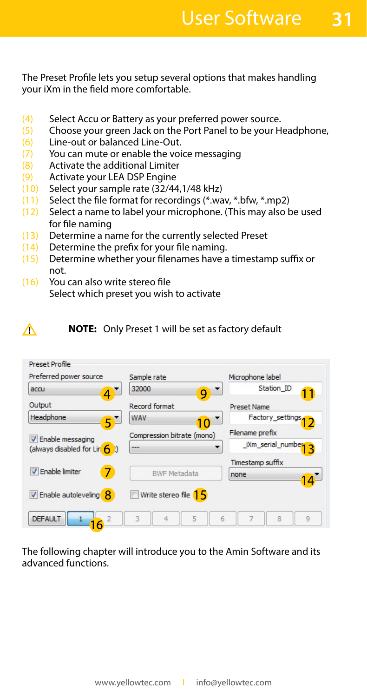**31**

The Preset Profile lets you setup several options that makes handling your iXm in the field more comfortable.

- Select Accu or Battery as your preferred power source. (4)
- Choose your green Jack on the Port Panel to be your Headphone, (5)
- Line-out or balanced Line-Out. (6)
- You can mute or enable the voice messaging (7)
- Activate the additional Limiter (8)
- Activate your LEA DSP Engine (9)
- (10) Select your sample rate (32/44,1/48 kHz)
- Select the file format for recordings (\*.wav, \*.bfw, \*.mp2)  $(11)$
- Select a name to label your microphone. (This may also be used for file naming  $(12)$
- Determine a name for the currently selected Preset (13)
- Determine the prefix for your file naming.  $(14)$
- Determine whether your filenames have a timestamp suffix or not. (15)
- You can also write stereo file Select which preset you wish to activate (16)

∧

**NOTE:** Only Preset 1 will be set as factory default

| Preset Profile<br>Preferred power source | Sample rate                | Microphone label         |
|------------------------------------------|----------------------------|--------------------------|
| accu                                     | 32000<br>g                 | Station ID               |
| Output                                   | <b>Record format</b>       | <b>Preset Name</b>       |
| Headphone                                | WAV                        | Factory_settings         |
| V Enable messaging                       | Compression bitrate (mono) | Filename prefix          |
| (always disabled for Lin $\left($ t)     | ---                        | iXm serial number<br>3   |
|                                          |                            | Timestamp suffix         |
| <b>V</b> Enable limiter<br>7             | <b>BWF Metadata</b>        | none                     |
| <b>V</b> Enable autoleveling <b>8</b>    | Write stereo file 15       |                          |
| <b>DEFAULT</b>                           | 5<br>3<br>4                | 6<br>8<br>$\overline{9}$ |

The following chapter will introduce you to the Amin Software and its advanced functions.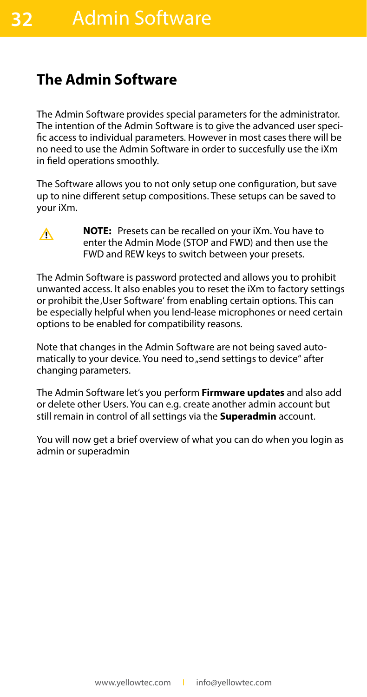#### **The Admin Software**

The Admin Software provides special parameters for the administrator. The intention of the Admin Software is to give the advanced user specific access to individual parameters. However in most cases there will be no need to use the Admin Software in order to succesfully use the iXm in field operations smoothly.

The Software allows you to not only setup one configuration, but save up to nine different setup compositions. These setups can be saved to your iXm.

∧

**32**

**NOTE:** Presets can be recalled on your iXm. You have to enter the Admin Mode (STOP and FWD) and then use the FWD and REW keys to switch between your presets.

The Admin Software is password protected and allows you to prohibit unwanted access. It also enables you to reset the iXm to factory settings or prohibit the, User Software' from enabling certain options. This can be especially helpful when you lend-lease microphones or need certain options to be enabled for compatibility reasons.

Note that changes in the Admin Software are not being saved automatically to your device. You need to "send settings to device" after changing parameters.

The Admin Software let's you perform **Firmware updates** and also add or delete other Users. You can e.g. create another admin account but still remain in control of all settings via the **Superadmin** account.

You will now get a brief overview of what you can do when you login as admin or superadmin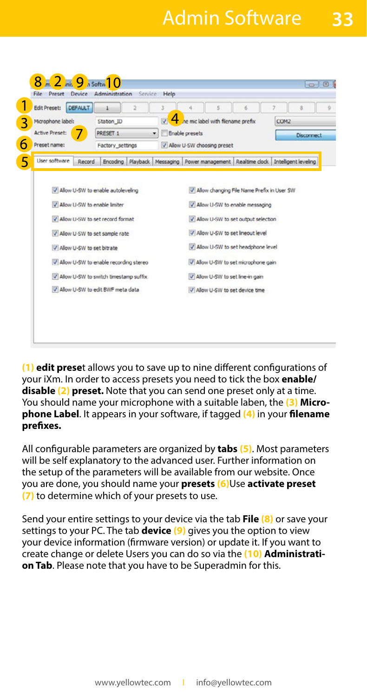### Admin Software

**33**

|                       | <b>DEFAULT</b>                          |   | 3  |                                   | 5 | 6                                   | 7<br>s                                                               |                   |
|-----------------------|-----------------------------------------|---|----|-----------------------------------|---|-------------------------------------|----------------------------------------------------------------------|-------------------|
| Microphone label:     | Station ID                              |   | V. | he mic label with filename prefix |   |                                     | COM2                                                                 |                   |
| <b>Active Preset:</b> | PRESET 1                                | ۰ |    | Enable presets                    |   |                                     |                                                                      | <b>Disconnect</b> |
| Preset name:          | Factory_settings                        |   |    | V Allow U-SW choosing preset      |   |                                     |                                                                      |                   |
| Liser software        | Encoding Playback<br>Record             |   |    |                                   |   |                                     | Messaging   Power management   Realtime clock   Intelligent leveling |                   |
|                       | V Allow U-SW to set sample rate         |   |    |                                   |   | Allow U-SW to set lineout level     |                                                                      |                   |
|                       |                                         |   |    |                                   |   |                                     |                                                                      |                   |
|                       | V Allow U-SW to set bitrate             |   |    |                                   |   | V Allow U-SW to set headphone level |                                                                      |                   |
|                       | V Allow U-SW to enable recording stereo |   |    |                                   |   | V Allow U-SW to set microphone gain |                                                                      |                   |
|                       | V Allow U-SW to switch timestamp suffix |   |    |                                   |   | V Allow U-SW to set line-in gain    |                                                                      |                   |
|                       |                                         |   |    |                                   |   |                                     |                                                                      |                   |

**(1) edit prese**t allows you to save up to nine different configurations of your iXm. In order to access presets you need to tick the box **enable/ disable (2) preset.** Note that you can send one preset only at a time. You should name your microphone with a suitable laben, the **(3) Microphone Label**. It appears in your software, if tagged **(4)** in your **filename prefixes.**

All configurable parameters are organized by **tabs (5)**. Most parameters will be self explanatory to the advanced user. Further information on the setup of the parameters will be available from our website. Once you are done, you should name your **presets (6)**Use **activate preset (7)** to determine which of your presets to use.

Send your entire settings to your device via the tab **File (8)** or save your settings to your PC. The tab **device (9)** gives you the option to view your device information (firmware version) or update it. If you want to create change or delete Users you can do so via the **(10) Administration Tab**. Please note that you have to be Superadmin for this.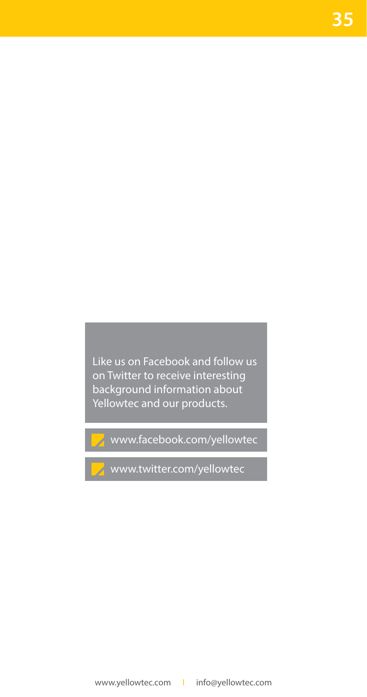Like us on Facebook and follow us on Twitter to receive interesting background information about Yellowtec and our products.

www.facebook.com/yellowtec

www.twitter.com/yellowtec